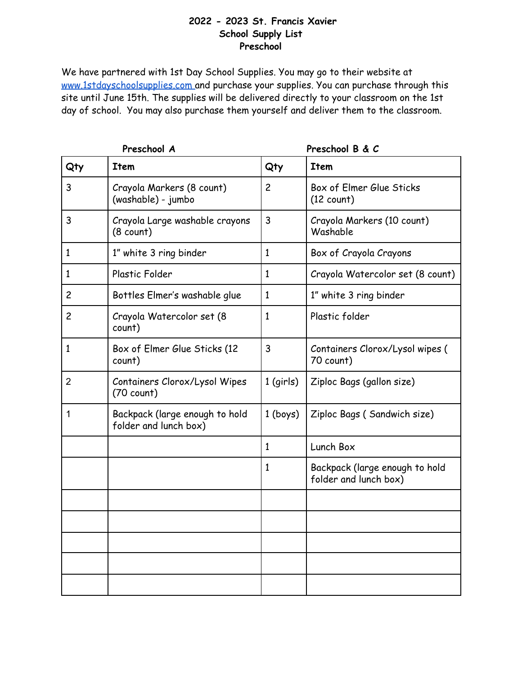#### **2022 - 2023 St. Francis Xavier School Supply List Preschool**

| Preschool A    |                                                         | Preschool B & C |                                                         |
|----------------|---------------------------------------------------------|-----------------|---------------------------------------------------------|
| Qty            | <b>Item</b>                                             | Qty             | <b>Item</b>                                             |
| 3              | Crayola Markers (8 count)<br>(washable) - jumbo         | $\overline{c}$  | Box of Elmer Glue Sticks<br>$(12$ count)                |
| 3              | Crayola Large washable crayons<br>$(8$ count)           | 3               | Crayola Markers (10 count)<br>Washable                  |
| $\mathbf{1}$   | 1" white 3 ring binder                                  | 1               | Box of Crayola Crayons                                  |
| 1              | Plastic Folder                                          | $\mathbf{1}$    | Crayola Watercolor set (8 count)                        |
| $\overline{c}$ | Bottles Elmer's washable glue                           | 1               | 1" white 3 ring binder                                  |
| $\overline{c}$ | Crayola Watercolor set (8<br>count)                     | 1               | Plastic folder                                          |
| 1              | Box of Elmer Glue Sticks (12<br>count)                  | 3               | Containers Clorox/Lysol wipes (<br>70 count)            |
| $\overline{2}$ | Containers Clorox/Lysol Wipes<br>$(70$ count)           | $1$ (girls)     | Ziploc Bags (gallon size)                               |
| 1              | Backpack (large enough to hold<br>folder and lunch box) | $1 ($ boys $)$  | Ziploc Bags (Sandwich size)                             |
|                |                                                         | 1               | Lunch Box                                               |
|                |                                                         | 1               | Backpack (large enough to hold<br>folder and lunch box) |
|                |                                                         |                 |                                                         |
|                |                                                         |                 |                                                         |
|                |                                                         |                 |                                                         |
|                |                                                         |                 |                                                         |
|                |                                                         |                 |                                                         |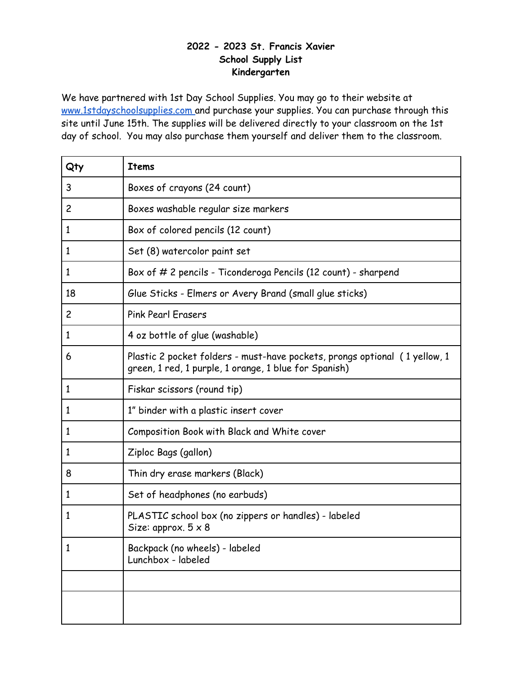## **- 2023 St. Francis Xavier School Supply List Kindergarten**

| Qty            | Items                                                                                                                               |
|----------------|-------------------------------------------------------------------------------------------------------------------------------------|
| 3              | Boxes of crayons (24 count)                                                                                                         |
| $\overline{c}$ | Boxes washable regular size markers                                                                                                 |
| $\mathbf{1}$   | Box of colored pencils (12 count)                                                                                                   |
| $\mathbf{1}$   | Set (8) watercolor paint set                                                                                                        |
| 1              | Box of # 2 pencils - Ticonderoga Pencils (12 count) - sharpend                                                                      |
| 18             | Glue Sticks - Elmers or Avery Brand (small glue sticks)                                                                             |
| $\overline{c}$ | <b>Pink Pearl Erasers</b>                                                                                                           |
| $\mathbf{1}$   | 4 oz bottle of glue (washable)                                                                                                      |
| 6              | Plastic 2 pocket folders - must-have pockets, prongs optional (1 yellow, 1<br>green, 1 red, 1 purple, 1 orange, 1 blue for Spanish) |
| $\mathbf{1}$   | Fiskar scissors (round tip)                                                                                                         |
| 1              | 1" binder with a plastic insert cover                                                                                               |
| 1              | Composition Book with Black and White cover                                                                                         |
| 1              | Ziploc Bags (gallon)                                                                                                                |
| 8              | Thin dry erase markers (Black)                                                                                                      |
| $\mathbf{1}$   | Set of headphones (no earbuds)                                                                                                      |
| 1              | PLASTIC school box (no zippers or handles) - labeled<br>Size: approx. $5 \times 8$                                                  |
| 1              | Backpack (no wheels) - labeled<br>Lunchbox - labeled                                                                                |
|                |                                                                                                                                     |
|                |                                                                                                                                     |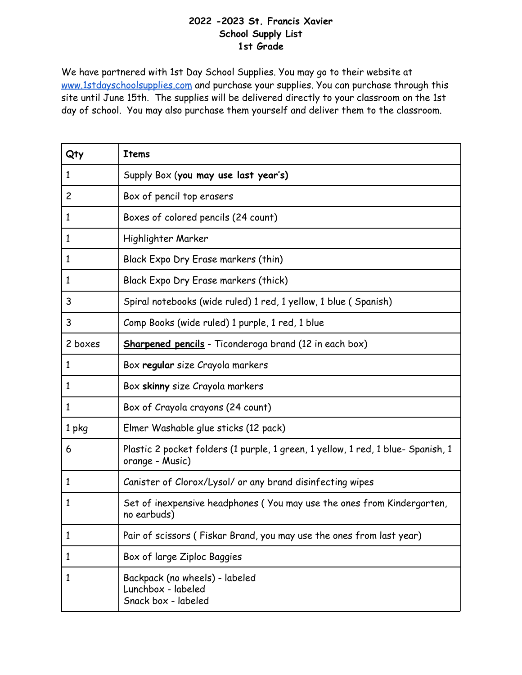#### **-2023 St. Francis Xavier School Supply List 1st Grade**

| Qty            | <b>Items</b>                                                                                        |
|----------------|-----------------------------------------------------------------------------------------------------|
| 1              | Supply Box (you may use last year's)                                                                |
| $\overline{c}$ | Box of pencil top erasers                                                                           |
| $\mathbf{1}$   | Boxes of colored pencils (24 count)                                                                 |
| $\mathbf{1}$   | Highlighter Marker                                                                                  |
| 1              | Black Expo Dry Erase markers (thin)                                                                 |
| $\mathbf{1}$   | Black Expo Dry Erase markers (thick)                                                                |
| 3              | Spiral notebooks (wide ruled) 1 red, 1 yellow, 1 blue (Spanish)                                     |
| 3              | Comp Books (wide ruled) 1 purple, 1 red, 1 blue                                                     |
| 2 boxes        | <b>Sharpened pencils</b> - Ticonderoga brand (12 in each box)                                       |
| 1              | Box regular size Crayola markers                                                                    |
| 1              | Box skinny size Crayola markers                                                                     |
| $\mathbf{1}$   | Box of Crayola crayons (24 count)                                                                   |
| 1 pkg          | Elmer Washable glue sticks (12 pack)                                                                |
| 6              | Plastic 2 pocket folders (1 purple, 1 green, 1 yellow, 1 red, 1 blue- Spanish, 1<br>orange - Music) |
| 1              | Canister of Clorox/Lysol/ or any brand disinfecting wipes                                           |
| 1              | Set of inexpensive headphones (You may use the ones from Kindergarten,<br>no earbuds)               |
| 1              | Pair of scissors (Fiskar Brand, you may use the ones from last year)                                |
| $\mathbf{1}$   | Box of large Ziploc Baggies                                                                         |
| 1              | Backpack (no wheels) - labeled<br>Lunchbox - labeled<br>Snack box - labeled                         |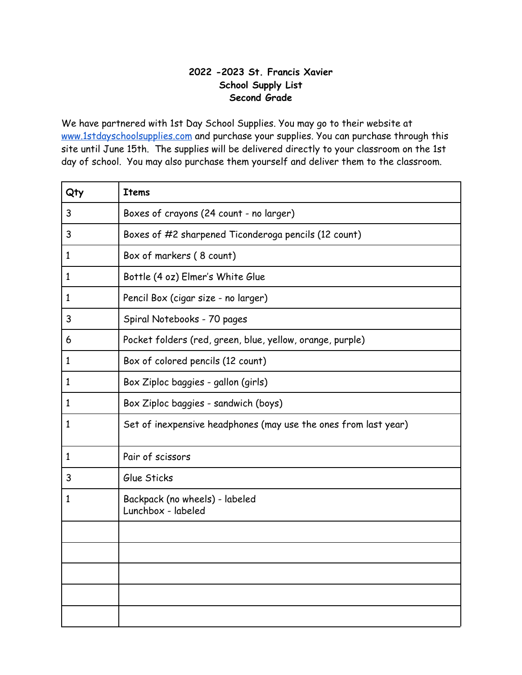## **-2023 St. Francis Xavier School Supply List Second Grade**

| Qty          | <b>Items</b>                                                    |
|--------------|-----------------------------------------------------------------|
| 3            | Boxes of crayons (24 count - no larger)                         |
| 3            | Boxes of #2 sharpened Ticonderoga pencils (12 count)            |
| $\mathbf{1}$ | Box of markers (8 count)                                        |
| $\mathbf{1}$ | Bottle (4 oz) Elmer's White Glue                                |
| $\mathbf{1}$ | Pencil Box (cigar size - no larger)                             |
| 3            | Spiral Notebooks - 70 pages                                     |
| 6            | Pocket folders (red, green, blue, yellow, orange, purple)       |
| $\mathbf{1}$ | Box of colored pencils (12 count)                               |
| 1            | Box Ziploc baggies - gallon (girls)                             |
| 1            | Box Ziploc baggies - sandwich (boys)                            |
| 1            | Set of inexpensive headphones (may use the ones from last year) |
| $\mathbf{1}$ | Pair of scissors                                                |
| 3            | Glue Sticks                                                     |
| 1            | Backpack (no wheels) - labeled<br>Lunchbox - labeled            |
|              |                                                                 |
|              |                                                                 |
|              |                                                                 |
|              |                                                                 |
|              |                                                                 |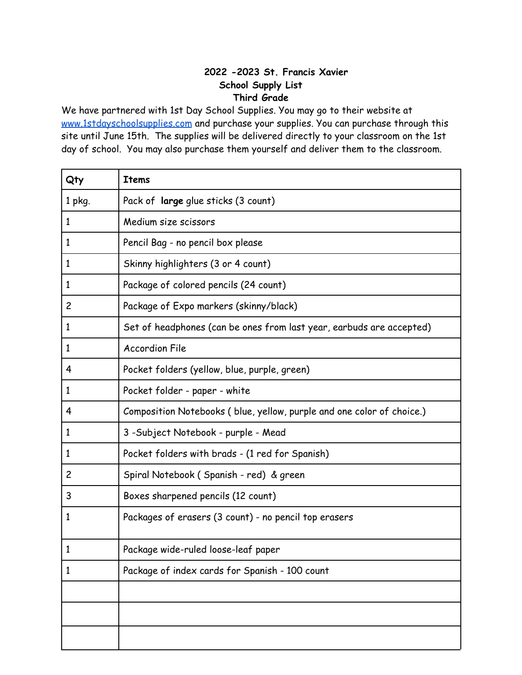# **-2023 St. Francis Xavier School Supply List Third Grade**

| Qty            | <b>Items</b>                                                          |
|----------------|-----------------------------------------------------------------------|
| 1 pkg.         | Pack of large glue sticks (3 count)                                   |
| $\mathbf{1}$   | Medium size scissors                                                  |
| $\mathbf{1}$   | Pencil Bag - no pencil box please                                     |
| $\mathbf{1}$   | Skinny highlighters (3 or 4 count)                                    |
| $\mathbf{1}$   | Package of colored pencils (24 count)                                 |
| $\overline{c}$ | Package of Expo markers (skinny/black)                                |
| $\mathbf{1}$   | Set of headphones (can be ones from last year, earbuds are accepted)  |
| $\mathbf{1}$   | <b>Accordion File</b>                                                 |
| 4              | Pocket folders (yellow, blue, purple, green)                          |
| $\mathbf{1}$   | Pocket folder - paper - white                                         |
| 4              | Composition Notebooks (blue, yellow, purple and one color of choice.) |
| 1              | 3 - Subject Notebook - purple - Mead                                  |
| 1              | Pocket folders with brads - (1 red for Spanish)                       |
| $\overline{c}$ | Spiral Notebook (Spanish - red) & green                               |
| 3              | Boxes sharpened pencils (12 count)                                    |
| $\mathbf{1}$   | Packages of erasers (3 count) - no pencil top erasers                 |
| 1              | Package wide-ruled loose-leaf paper                                   |
| 1              | Package of index cards for Spanish - 100 count                        |
|                |                                                                       |
|                |                                                                       |
|                |                                                                       |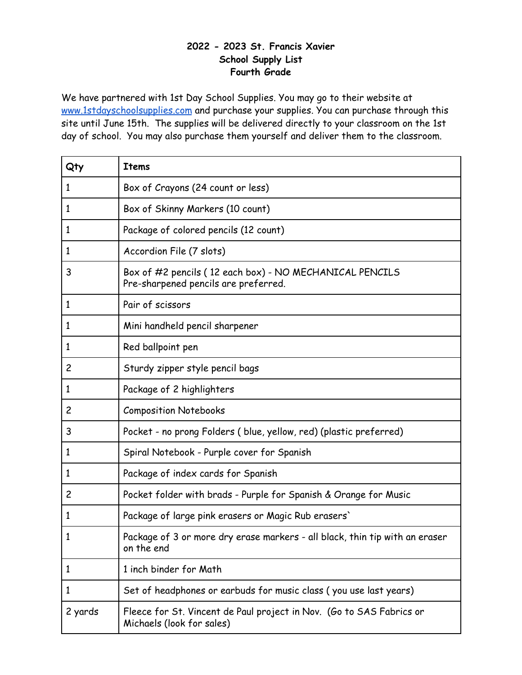#### **- 2023 St. Francis Xavier School Supply List Fourth Grade**

| Qty            | <b>Items</b>                                                                                      |
|----------------|---------------------------------------------------------------------------------------------------|
| $\mathbf{1}$   | Box of Crayons (24 count or less)                                                                 |
| $\mathbf{1}$   | Box of Skinny Markers (10 count)                                                                  |
| $\mathbf{1}$   | Package of colored pencils (12 count)                                                             |
| $\mathbf{1}$   | Accordion File (7 slots)                                                                          |
| 3              | Box of #2 pencils (12 each box) - NO MECHANICAL PENCILS<br>Pre-sharpened pencils are preferred.   |
| $\mathbf{1}$   | Pair of scissors                                                                                  |
| $\mathbf{1}$   | Mini handheld pencil sharpener                                                                    |
| $\mathbf{1}$   | Red ballpoint pen                                                                                 |
| $\overline{c}$ | Sturdy zipper style pencil bags                                                                   |
| $\mathbf{1}$   | Package of 2 highlighters                                                                         |
| $\overline{c}$ | <b>Composition Notebooks</b>                                                                      |
| 3              | Pocket - no prong Folders (blue, yellow, red) (plastic preferred)                                 |
| $\mathbf{1}$   | Spiral Notebook - Purple cover for Spanish                                                        |
| $\mathbf{1}$   | Package of index cards for Spanish                                                                |
| $\overline{c}$ | Pocket folder with brads - Purple for Spanish & Orange for Music                                  |
| $\mathbf{1}$   | Package of large pink erasers or Magic Rub erasers'                                               |
| 1              | Package of 3 or more dry erase markers - all black, thin tip with an eraser<br>on the end         |
| 1              | 1 inch binder for Math                                                                            |
| 1              | Set of headphones or earbuds for music class (you use last years)                                 |
| 2 yards        | Fleece for St. Vincent de Paul project in Nov. (Go to SAS Fabrics or<br>Michaels (look for sales) |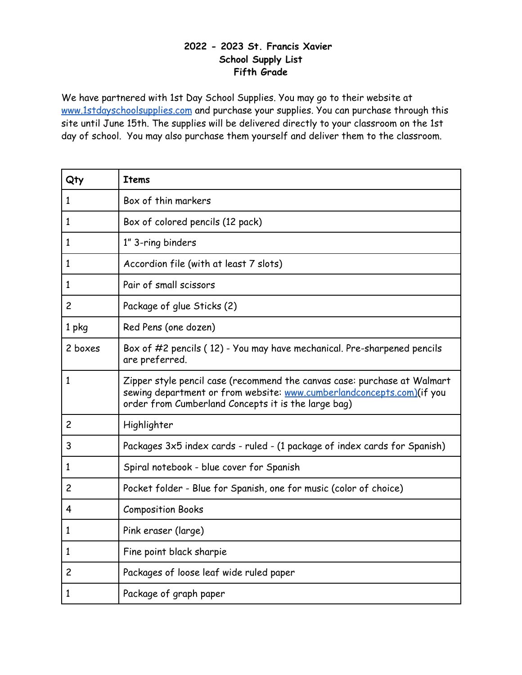#### **- 2023 St. Francis Xavier School Supply List Fifth Grade**

| Qty            | <b>Items</b>                                                                                                                                                                                             |
|----------------|----------------------------------------------------------------------------------------------------------------------------------------------------------------------------------------------------------|
| 1              | Box of thin markers                                                                                                                                                                                      |
| $\mathbf{1}$   | Box of colored pencils (12 pack)                                                                                                                                                                         |
| 1              | 1" 3-ring binders                                                                                                                                                                                        |
| 1              | Accordion file (with at least 7 slots)                                                                                                                                                                   |
| $\mathbf{1}$   | Pair of small scissors                                                                                                                                                                                   |
| $\overline{c}$ | Package of glue Sticks (2)                                                                                                                                                                               |
| 1 pkg          | Red Pens (one dozen)                                                                                                                                                                                     |
| 2 boxes        | Box of #2 pencils (12) - You may have mechanical. Pre-sharpened pencils<br>are preferred.                                                                                                                |
| $\mathbf{1}$   | Zipper style pencil case (recommend the canvas case: purchase at Walmart<br>sewing department or from website: www.cumberlandconcepts.com)(if you<br>order from Cumberland Concepts it is the large bag) |
| $\overline{c}$ | Highlighter                                                                                                                                                                                              |
| 3              | Packages 3x5 index cards - ruled - (1 package of index cards for Spanish)                                                                                                                                |
| 1              | Spiral notebook - blue cover for Spanish                                                                                                                                                                 |
| $\overline{c}$ | Pocket folder - Blue for Spanish, one for music (color of choice)                                                                                                                                        |
| 4              | <b>Composition Books</b>                                                                                                                                                                                 |
| 1              | Pink eraser (large)                                                                                                                                                                                      |
| $\mathbf{1}$   | Fine point black sharpie                                                                                                                                                                                 |
| $\overline{c}$ | Packages of loose leaf wide ruled paper                                                                                                                                                                  |
| 1              | Package of graph paper                                                                                                                                                                                   |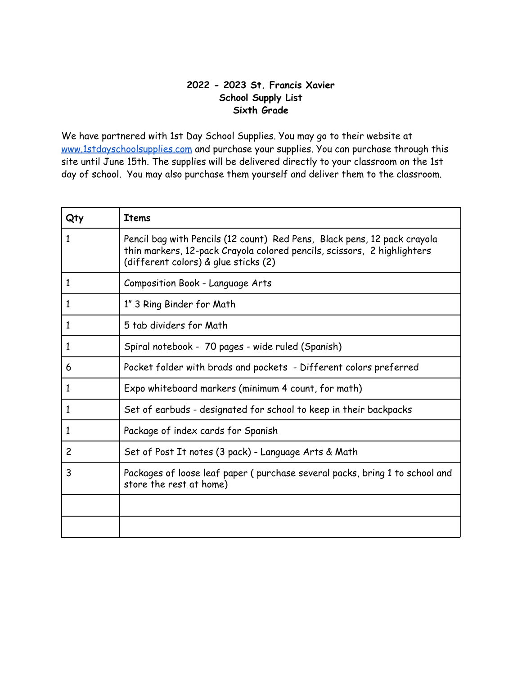## **2022 - 2023 St. Francis Xavier School Supply List Sixth Grade**

| Qty            | <b>Items</b>                                                                                                                                                                                |
|----------------|---------------------------------------------------------------------------------------------------------------------------------------------------------------------------------------------|
| 1              | Pencil bag with Pencils (12 count) Red Pens, Black pens, 12 pack crayola<br>thin markers, 12-pack Crayola colored pencils, scissors, 2 highlighters<br>(different colors) & glue sticks (2) |
| $\mathbf{1}$   | Composition Book - Language Arts                                                                                                                                                            |
| $\mathbf{1}$   | 1" 3 Ring Binder for Math                                                                                                                                                                   |
| $\mathbf{1}$   | 5 tab dividers for Math                                                                                                                                                                     |
| 1              | Spiral notebook - 70 pages - wide ruled (Spanish)                                                                                                                                           |
| 6              | Pocket folder with brads and pockets - Different colors preferred                                                                                                                           |
| $\mathbf{1}$   | Expo whiteboard markers (minimum 4 count, for math)                                                                                                                                         |
| 1              | Set of earbuds - designated for school to keep in their backpacks                                                                                                                           |
| 1              | Package of index cards for Spanish                                                                                                                                                          |
| $\overline{c}$ | Set of Post It notes (3 pack) - Language Arts & Math                                                                                                                                        |
| 3              | Packages of loose leaf paper (purchase several packs, bring 1 to school and<br>store the rest at home)                                                                                      |
|                |                                                                                                                                                                                             |
|                |                                                                                                                                                                                             |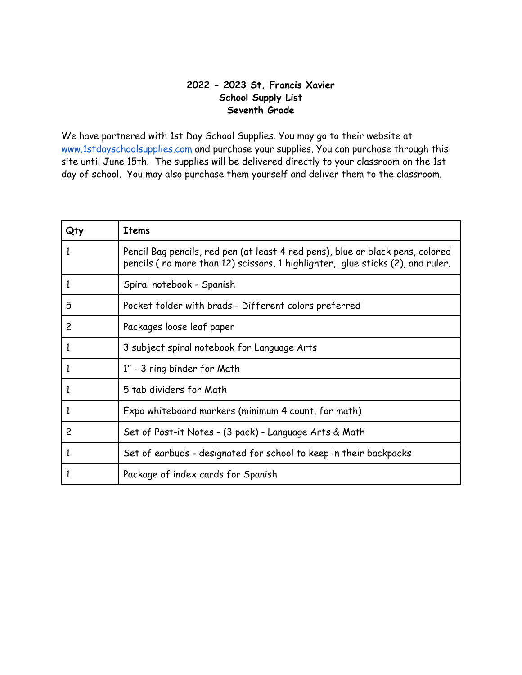#### **2022 - 2023 St. Francis Xavier School Supply List Seventh Grade**

| Qt | <b>Items</b>                                                                                                                                                     |
|----|------------------------------------------------------------------------------------------------------------------------------------------------------------------|
|    | Pencil Bag pencils, red pen (at least 4 red pens), blue or black pens, colored<br>pencils (no more than 12) scissors, 1 highlighter, glue sticks (2), and ruler. |
| 1  | Spiral notebook - Spanish                                                                                                                                        |
| 5  | Pocket folder with brads - Different colors preferred                                                                                                            |
| 2  | Packages loose leaf paper                                                                                                                                        |
|    | 3 subject spiral notebook for Language Arts                                                                                                                      |
| 1  | 1" - 3 ring binder for Math                                                                                                                                      |
|    | 5 tab dividers for Math                                                                                                                                          |
| 1  | Expo whiteboard markers (minimum 4 count, for math)                                                                                                              |
| 2  | Set of Post-it Notes - (3 pack) - Language Arts & Math                                                                                                           |
| 1  | Set of earbuds - designated for school to keep in their backpacks                                                                                                |
|    | Package of index cards for Spanish                                                                                                                               |